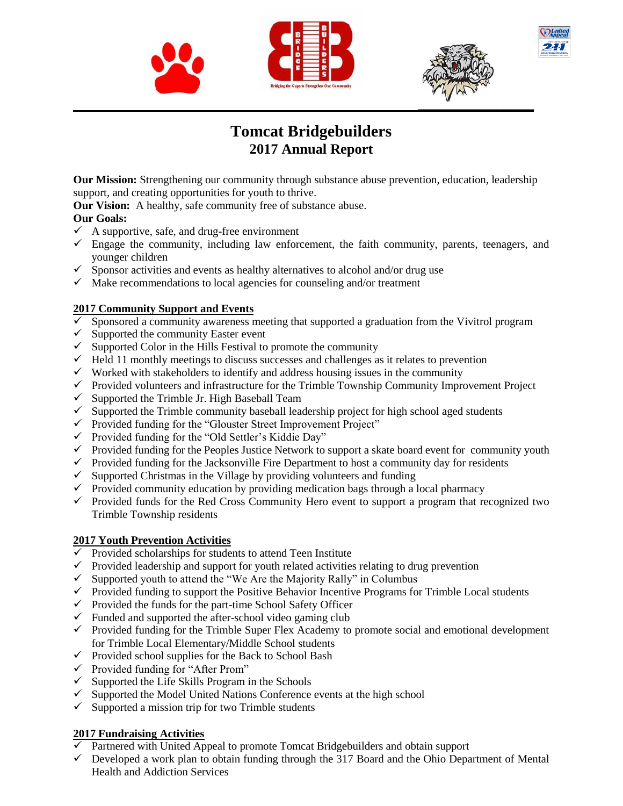





# **Tomcat Bridgebuilders 2017 Annual Report**

**Our Mission:** Strengthening our community through substance abuse prevention, education, leadership support, and creating opportunities for youth to thrive.

**Our Vision:** A healthy, safe community free of substance abuse.

#### **Our Goals:**

- $\checkmark$  A supportive, safe, and drug-free environment
- $\checkmark$  Engage the community, including law enforcement, the faith community, parents, teenagers, and younger children
- $\checkmark$  Sponsor activities and events as healthy alternatives to alcohol and/or drug use
- $\checkmark$  Make recommendations to local agencies for counseling and/or treatment

#### **2017 Community Support and Events**

- $\overline{\checkmark}$  Sponsored a community awareness meeting that supported a graduation from the Vivitrol program
- $\checkmark$  Supported the community Easter event
- $\checkmark$  Supported Color in the Hills Festival to promote the community
- $\checkmark$  Held 11 monthly meetings to discuss successes and challenges as it relates to prevention
- $\checkmark$  Worked with stakeholders to identify and address housing issues in the community
- $\checkmark$  Provided volunteers and infrastructure for the Trimble Township Community Improvement Project
- $\checkmark$  Supported the Trimble Jr. High Baseball Team
- $\checkmark$  Supported the Trimble community baseball leadership project for high school aged students
- $\checkmark$  Provided funding for the "Glouster Street Improvement Project"
- $\checkmark$  Provided funding for the "Old Settler's Kiddie Day"
- $\checkmark$  Provided funding for the Peoples Justice Network to support a skate board event for community youth
- $\checkmark$  Provided funding for the Jacksonville Fire Department to host a community day for residents
- $\checkmark$  Supported Christmas in the Village by providing volunteers and funding
- $\checkmark$  Provided community education by providing medication bags through a local pharmacy
- $\checkmark$  Provided funds for the Red Cross Community Hero event to support a program that recognized two Trimble Township residents

#### **2017 Youth Prevention Activities**

- $\checkmark$  Provided scholarships for students to attend Teen Institute
- $\checkmark$  Provided leadership and support for youth related activities relating to drug prevention
- $\checkmark$  Supported youth to attend the "We Are the Majority Rally" in Columbus
- $\checkmark$  Provided funding to support the Positive Behavior Incentive Programs for Trimble Local students
- $\checkmark$  Provided the funds for the part-time School Safety Officer
- $\checkmark$  Funded and supported the after-school video gaming club
- $\checkmark$  Provided funding for the Trimble Super Flex Academy to promote social and emotional development for Trimble Local Elementary/Middle School students
- $\checkmark$  Provided school supplies for the Back to School Bash
- $\checkmark$  Provided funding for "After Prom"
- $\checkmark$  Supported the Life Skills Program in the Schools
- $\checkmark$  Supported the Model United Nations Conference events at the high school
- $\checkmark$  Supported a mission trip for two Trimble students

#### **2017 Fundraising Activities**

- $\checkmark$  Partnered with United Appeal to promote Tomcat Bridgebuilders and obtain support
- $\checkmark$  Developed a work plan to obtain funding through the 317 Board and the Ohio Department of Mental Health and Addiction Services